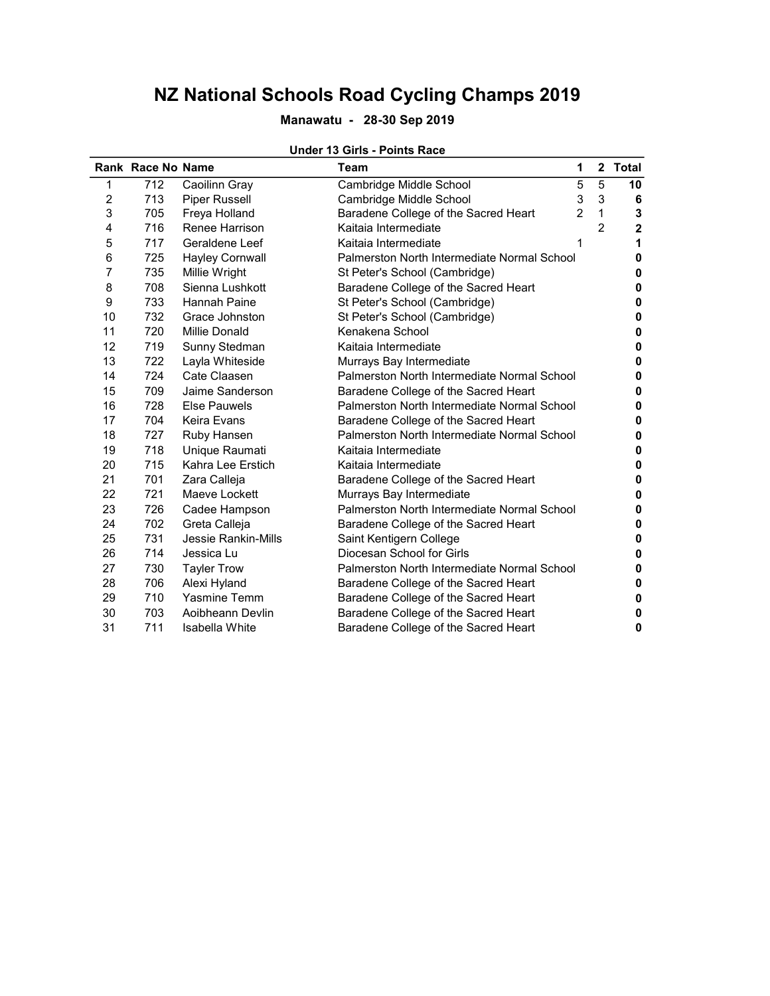### Manawatu - 28-30 Sep 2019

#### Under 13 Girls - Points Race

|                | <b>Rank Race No Name</b> |                            | Team                                        | 1              |               | 2 Total                 |
|----------------|--------------------------|----------------------------|---------------------------------------------|----------------|---------------|-------------------------|
| 1              | 712                      | Caoilinn Gray              | Cambridge Middle School                     | 5              | 5             | 10                      |
| $\overline{c}$ | 713                      | Piper Russell              | Cambridge Middle School                     | 3              | 3             | 6                       |
| 3              | 705                      | Freya Holland              | Baradene College of the Sacred Heart        | $\overline{2}$ | 1             | 3                       |
| 4              | 716                      | Renee Harrison             | Kaitaia Intermediate                        |                | $\mathcal{P}$ | $\overline{\mathbf{2}}$ |
| 5              | 717                      | Geraldene Leef             | Kaitaia Intermediate                        | 1              |               | 1                       |
| 6              | 725                      | <b>Hayley Cornwall</b>     | Palmerston North Intermediate Normal School |                |               | 0                       |
| 7              | 735                      | Millie Wright              | St Peter's School (Cambridge)               |                |               | 0                       |
| 8              | 708                      | Sienna Lushkott            | Baradene College of the Sacred Heart        |                |               | 0                       |
| 9              | 733                      | <b>Hannah Paine</b>        | St Peter's School (Cambridge)               |                |               | 0                       |
| 10             | 732                      | Grace Johnston             | St Peter's School (Cambridge)               |                |               | 0                       |
| 11             | 720                      | Millie Donald              | Kenakena School                             |                |               | 0                       |
| 12             | 719                      | Sunny Stedman              | Kaitaia Intermediate                        |                |               | 0                       |
| 13             | 722                      | Layla Whiteside            | Murrays Bay Intermediate                    |                |               | 0                       |
| 14             | 724                      | Cate Claasen               | Palmerston North Intermediate Normal School |                |               | 0                       |
| 15             | 709                      | Jaime Sanderson            | Baradene College of the Sacred Heart        |                |               | 0                       |
| 16             | 728                      | <b>Else Pauwels</b>        | Palmerston North Intermediate Normal School |                |               | 0                       |
| 17             | 704                      | Keira Evans                | Baradene College of the Sacred Heart        |                |               | 0                       |
| 18             | 727                      | Ruby Hansen                | Palmerston North Intermediate Normal School |                |               | 0                       |
| 19             | 718                      | Unique Raumati             | Kaitaia Intermediate                        |                |               | 0                       |
| 20             | 715                      | Kahra Lee Erstich          | Kaitaia Intermediate                        |                |               | 0                       |
| 21             | 701                      | Zara Calleja               | Baradene College of the Sacred Heart        |                |               | 0                       |
| 22             | 721                      | Maeve Lockett              | Murrays Bay Intermediate                    |                |               | 0                       |
| 23             | 726                      | Cadee Hampson              | Palmerston North Intermediate Normal School |                |               | 0                       |
| 24             | 702                      | Greta Calleja              | Baradene College of the Sacred Heart        |                |               | 0                       |
| 25             | 731                      | <b>Jessie Rankin-Mills</b> | Saint Kentigern College                     |                |               | 0                       |
| 26             | 714                      | Jessica Lu                 | Diocesan School for Girls                   |                |               | 0                       |
| 27             | 730                      | <b>Tayler Trow</b>         | Palmerston North Intermediate Normal School |                |               | 0                       |
| 28             | 706                      | Alexi Hyland               | Baradene College of the Sacred Heart        |                |               | 0                       |
| 29             | 710                      | <b>Yasmine Temm</b>        | Baradene College of the Sacred Heart        |                |               | 0                       |
| 30             | 703                      | Aoibheann Devlin           | Baradene College of the Sacred Heart        |                |               | 0                       |
| 31             | 711                      | Isabella White             | Baradene College of the Sacred Heart        |                |               | $\bf{0}$                |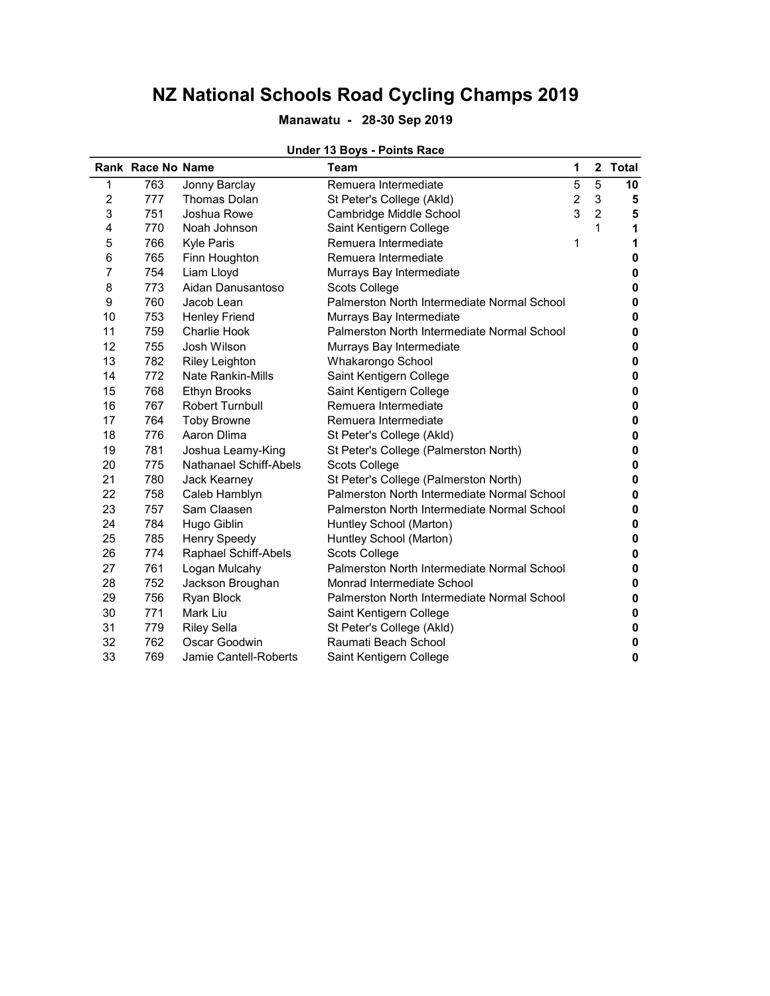### Manawatu - 28-30 Sep 2019

|                | Rank Race No Name |                          | Team                                        | 1              |                | 2 Total   |
|----------------|-------------------|--------------------------|---------------------------------------------|----------------|----------------|-----------|
| 1              | 763               | Jonny Barclay            | Remuera Intermediate                        | 5              | 5              | 10        |
| $\overline{c}$ | 777               | <b>Thomas Dolan</b>      | St Peter's College (Akld)                   | $\overline{c}$ | 3              | 5         |
| 3              | 751               | Joshua Rowe              | Cambridge Middle School                     | 3              | $\overline{2}$ | 5         |
| 4              | 770               | Noah Johnson             | Saint Kentigern College                     |                | 1              | 1         |
| 5              | 766               | <b>Kyle Paris</b>        | Remuera Intermediate                        | 1              |                | 1         |
| 6              | 765               | Finn Houghton            | Remuera Intermediate                        |                |                | 0         |
| $\overline{7}$ | 754               | Liam Lloyd               | Murrays Bay Intermediate                    |                |                | 0         |
| 8              | 773               | Aidan Danusantoso        | Scots College                               |                |                | 0         |
| 9              | 760               | Jacob Lean               | Palmerston North Intermediate Normal School |                |                | 0         |
| 10             | 753               | <b>Henley Friend</b>     | Murrays Bay Intermediate                    |                |                | 0         |
| 11             | 759               | <b>Charlie Hook</b>      | Palmerston North Intermediate Normal School |                |                | 0         |
| 12             | 755               | Josh Wilson              | Murrays Bay Intermediate                    |                |                | 0         |
| 13             | 782               | <b>Riley Leighton</b>    | Whakarongo School                           |                |                | 0         |
| 14             | 772               | <b>Nate Rankin-Mills</b> | Saint Kentigern College                     |                |                | $\pmb{0}$ |
| 15             | 768               | <b>Ethyn Brooks</b>      | Saint Kentigern College                     |                |                | $\pmb{0}$ |
| 16             | 767               | Robert Turnbull          | Remuera Intermediate                        |                |                | 0         |
| 17             | 764               | <b>Toby Browne</b>       | Remuera Intermediate                        |                |                | $\pmb{0}$ |
| 18             | 776               | Aaron Dlima              | St Peter's College (Akld)                   |                |                | 0         |
| 19             | 781               | Joshua Leamy-King        | St Peter's College (Palmerston North)       |                |                | 0         |
| 20             | 775               | Nathanael Schiff-Abels   | Scots College                               |                |                | $\pmb{0}$ |
| 21             | 780               | Jack Kearney             | St Peter's College (Palmerston North)       |                |                | 0         |
| 22             | 758               | Caleb Hamblyn            | Palmerston North Intermediate Normal School |                |                | 0         |
| 23             | 757               | Sam Claasen              | Palmerston North Intermediate Normal School |                |                | 0         |
| 24             | 784               | Hugo Giblin              | Huntley School (Marton)                     |                |                | 0         |
| 25             | 785               | <b>Henry Speedy</b>      | Huntley School (Marton)                     |                |                | 0         |
| 26             | 774               | Raphael Schiff-Abels     | Scots College                               |                |                | $\pmb{0}$ |
| 27             | 761               | Logan Mulcahy            | Palmerston North Intermediate Normal School |                |                | 0         |
| 28             | 752               | Jackson Broughan         | Monrad Intermediate School                  |                |                | 0         |
| 29             | 756               | Ryan Block               | Palmerston North Intermediate Normal School |                |                | 0         |
| 30             | 771               | Mark Liu                 | Saint Kentigern College                     |                |                | 0         |
| 31             | 779               | <b>Riley Sella</b>       | St Peter's College (Akld)                   |                |                | 0         |
| 32             | 762               | Oscar Goodwin            | Raumati Beach School                        |                |                | 0         |
| 33             | 769               | Jamie Cantell-Roberts    | Saint Kentigern College                     |                |                | 0         |

#### Under 13 Boys - Points Race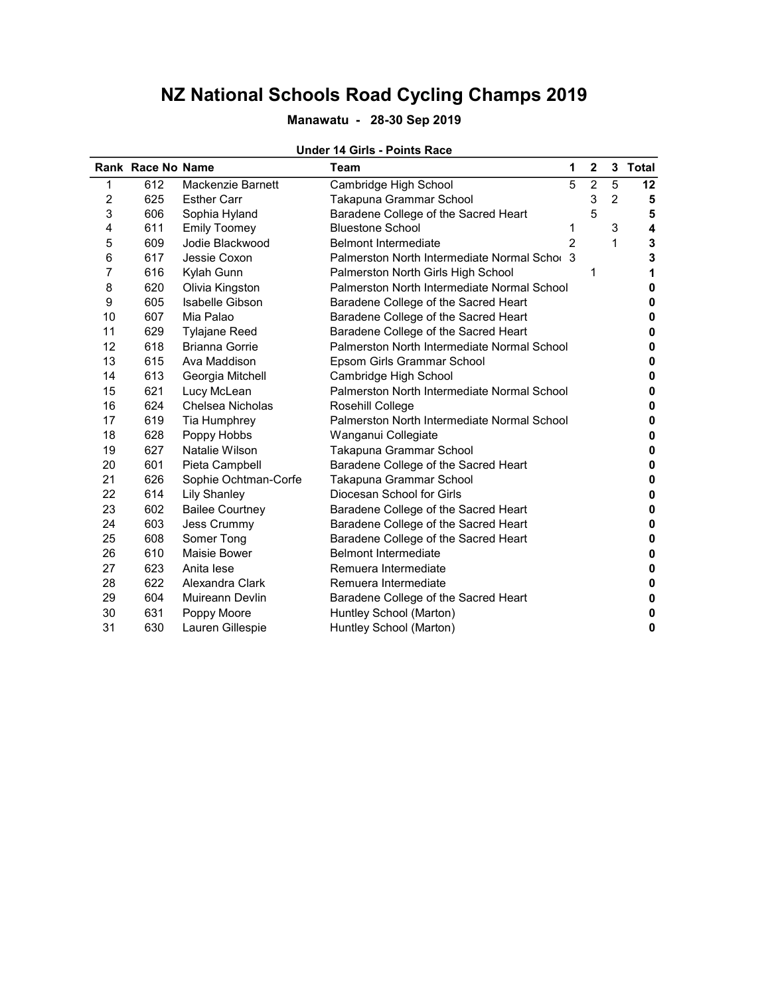### Manawatu - 28-30 Sep 2019

|    | Rank Race No Name |                        | Team                                         | 1              | $\overline{2}$ |   | 3 Total |
|----|-------------------|------------------------|----------------------------------------------|----------------|----------------|---|---------|
| 1  | 612               | Mackenzie Barnett      | Cambridge High School                        | 5              | $\overline{2}$ | 5 | 12      |
| 2  | 625               | <b>Esther Carr</b>     | Takapuna Grammar School                      |                | 3              | 2 | 5       |
| 3  | 606               | Sophia Hyland          | Baradene College of the Sacred Heart         |                | 5              |   | 5       |
| 4  | 611               | <b>Emily Toomey</b>    | <b>Bluestone School</b>                      | 1              |                | 3 | 4       |
| 5  | 609               | Jodie Blackwood        | <b>Belmont Intermediate</b>                  | $\mathfrak{p}$ |                | 1 | 3       |
| 6  | 617               | Jessie Coxon           | Palmerston North Intermediate Normal Schor 3 |                |                |   | 3       |
| 7  | 616               | Kylah Gunn             | Palmerston North Girls High School           |                | 1              |   | 1       |
| 8  | 620               | Olivia Kingston        | Palmerston North Intermediate Normal School  |                |                |   | 0       |
| 9  | 605               | Isabelle Gibson        | Baradene College of the Sacred Heart         |                |                |   | 0       |
| 10 | 607               | Mia Palao              | Baradene College of the Sacred Heart         |                |                |   | 0       |
| 11 | 629               | <b>Tylajane Reed</b>   | Baradene College of the Sacred Heart         |                |                |   | 0       |
| 12 | 618               | <b>Brianna Gorrie</b>  | Palmerston North Intermediate Normal School  |                |                |   | 0       |
| 13 | 615               | Ava Maddison           | Epsom Girls Grammar School                   |                |                |   | 0       |
| 14 | 613               | Georgia Mitchell       | Cambridge High School                        |                |                |   | 0       |
| 15 | 621               | Lucy McLean            | Palmerston North Intermediate Normal School  |                |                |   | 0       |
| 16 | 624               | Chelsea Nicholas       | Rosehill College                             |                |                |   | 0       |
| 17 | 619               | Tia Humphrey           | Palmerston North Intermediate Normal School  |                |                |   | 0       |
| 18 | 628               | Poppy Hobbs            | Wanganui Collegiate                          |                |                |   | 0       |
| 19 | 627               | Natalie Wilson         | Takapuna Grammar School                      |                |                |   | 0       |
| 20 | 601               | Pieta Campbell         | Baradene College of the Sacred Heart         |                |                |   | 0       |
| 21 | 626               | Sophie Ochtman-Corfe   | Takapuna Grammar School                      |                |                |   | 0       |
| 22 | 614               | <b>Lily Shanley</b>    | Diocesan School for Girls                    |                |                |   | 0       |
| 23 | 602               | <b>Bailee Courtney</b> | Baradene College of the Sacred Heart         |                |                |   | 0       |
| 24 | 603               | Jess Crummy            | Baradene College of the Sacred Heart         |                |                |   | 0       |
| 25 | 608               | Somer Tong             | Baradene College of the Sacred Heart         |                |                |   | 0       |
| 26 | 610               | Maisie Bower           | <b>Belmont Intermediate</b>                  |                |                |   | 0       |
| 27 | 623               | Anita lese             | Remuera Intermediate                         |                |                |   | 0       |
| 28 | 622               | Alexandra Clark        | Remuera Intermediate                         |                |                |   | 0       |
| 29 | 604               | Muireann Devlin        | Baradene College of the Sacred Heart         |                |                |   | 0       |
| 30 | 631               | Poppy Moore            | Huntley School (Marton)                      |                |                |   | 0       |
| 31 | 630               | Lauren Gillespie       | Huntley School (Marton)                      |                |                |   | 0       |

#### Under 14 Girls - Points Race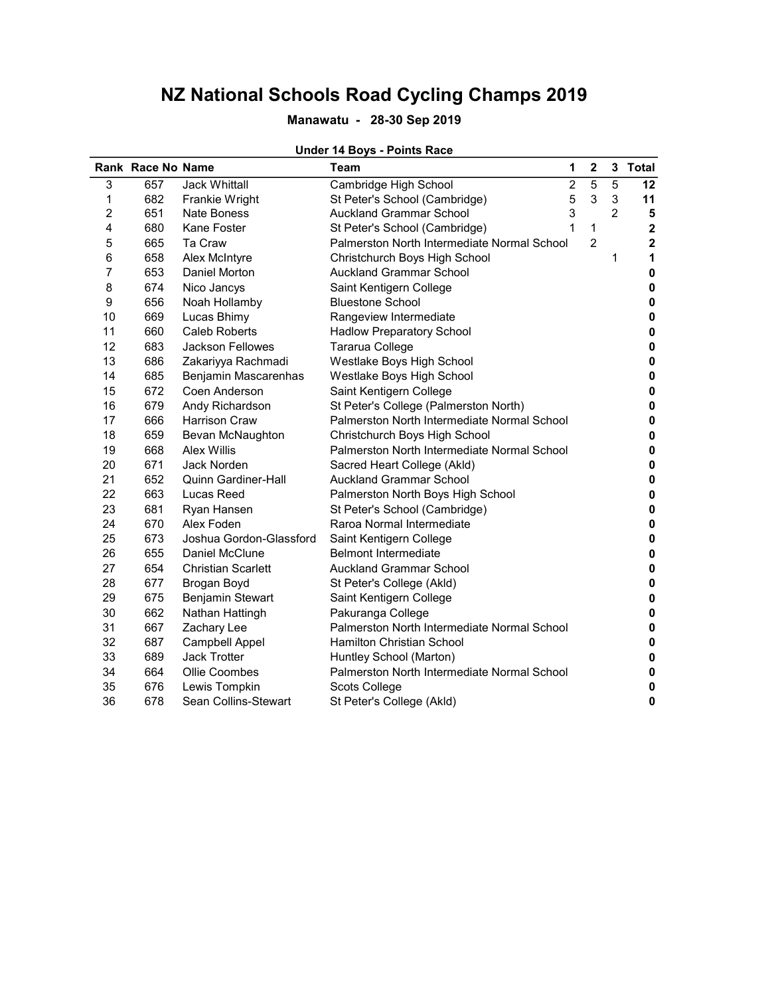### Manawatu - 28-30 Sep 2019

#### Under 14 Boys - Points Race

|                | <b>Rank Race No Name</b> |                           | Team                                        | 1              | $\mathbf 2$    | 3 | <b>Total</b> |
|----------------|--------------------------|---------------------------|---------------------------------------------|----------------|----------------|---|--------------|
| 3              | 657                      | <b>Jack Whittall</b>      | Cambridge High School                       | $\overline{c}$ | 5              | 5 | 12           |
| 1              | 682                      | Frankie Wright            | St Peter's School (Cambridge)               | 5              | 3              | 3 | 11           |
| 2              | 651                      | <b>Nate Boness</b>        | <b>Auckland Grammar School</b>              | 3              |                | 2 | 5            |
| 4              | 680                      | Kane Foster               | St Peter's School (Cambridge)               | 1              | 1              |   | $\mathbf 2$  |
| 5              | 665                      | Ta Craw                   | Palmerston North Intermediate Normal School |                | $\overline{2}$ |   | $\mathbf 2$  |
| 6              | 658                      | Alex McIntyre             | Christchurch Boys High School               |                |                | 1 | 1            |
| $\overline{7}$ | 653                      | Daniel Morton             | <b>Auckland Grammar School</b>              |                |                |   | 0            |
| 8              | 674                      | Nico Jancys               | Saint Kentigern College                     |                |                |   | $\mathbf 0$  |
| 9              | 656                      | Noah Hollamby             | <b>Bluestone School</b>                     |                |                |   | 0            |
| 10             | 669                      | Lucas Bhimy               | Rangeview Intermediate                      |                |                |   | 0            |
| 11             | 660                      | Caleb Roberts             | <b>Hadlow Preparatory School</b>            |                |                |   | 0            |
| 12             | 683                      | <b>Jackson Fellowes</b>   | Tararua College                             |                |                |   | 0            |
| 13             | 686                      | Zakariyya Rachmadi        | Westlake Boys High School                   |                |                |   | $\mathbf 0$  |
| 14             | 685                      | Benjamin Mascarenhas      | Westlake Boys High School                   |                |                |   | $\pmb{0}$    |
| 15             | 672                      | Coen Anderson             | Saint Kentigern College                     |                |                |   | 0            |
| 16             | 679                      | Andy Richardson           | St Peter's College (Palmerston North)       |                |                |   | 0            |
| 17             | 666                      | <b>Harrison Craw</b>      | Palmerston North Intermediate Normal School |                |                |   | 0            |
| 18             | 659                      | Bevan McNaughton          | Christchurch Boys High School               |                |                |   | $\mathbf 0$  |
| 19             | 668                      | <b>Alex Willis</b>        | Palmerston North Intermediate Normal School |                |                |   | $\mathbf 0$  |
| 20             | 671                      | <b>Jack Norden</b>        | Sacred Heart College (Akld)                 |                |                |   | $\mathbf 0$  |
| 21             | 652                      | Quinn Gardiner-Hall       | <b>Auckland Grammar School</b>              |                |                |   | 0            |
| 22             | 663                      | Lucas Reed                | Palmerston North Boys High School           |                |                |   | 0            |
| 23             | 681                      | Ryan Hansen               | St Peter's School (Cambridge)               |                |                |   | 0            |
| 24             | 670                      | Alex Foden                | Raroa Normal Intermediate                   |                |                |   | $\mathbf 0$  |
| 25             | 673                      | Joshua Gordon-Glassford   | Saint Kentigern College                     |                |                |   | 0            |
| 26             | 655                      | Daniel McClune            | <b>Belmont Intermediate</b>                 |                |                |   | 0            |
| 27             | 654                      | <b>Christian Scarlett</b> | <b>Auckland Grammar School</b>              |                |                |   | 0            |
| 28             | 677                      | Brogan Boyd               | St Peter's College (Akld)                   |                |                |   | 0            |
| 29             | 675                      | Benjamin Stewart          | Saint Kentigern College                     |                |                |   | 0            |
| 30             | 662                      | Nathan Hattingh           | Pakuranga College                           |                |                |   | 0            |
| 31             | 667                      | Zachary Lee               | Palmerston North Intermediate Normal School |                |                |   | 0            |
| 32             | 687                      | <b>Campbell Appel</b>     | <b>Hamilton Christian School</b>            |                |                |   | 0            |
| 33             | 689                      | Jack Trotter              | Huntley School (Marton)                     |                |                |   | 0            |
| 34             | 664                      | Ollie Coombes             | Palmerston North Intermediate Normal School |                |                |   | 0            |
| 35             | 676                      | Lewis Tompkin             | Scots College                               |                |                |   | 0            |
| 36             | 678                      | Sean Collins-Stewart      | St Peter's College (Akld)                   |                |                |   | $\mathbf 0$  |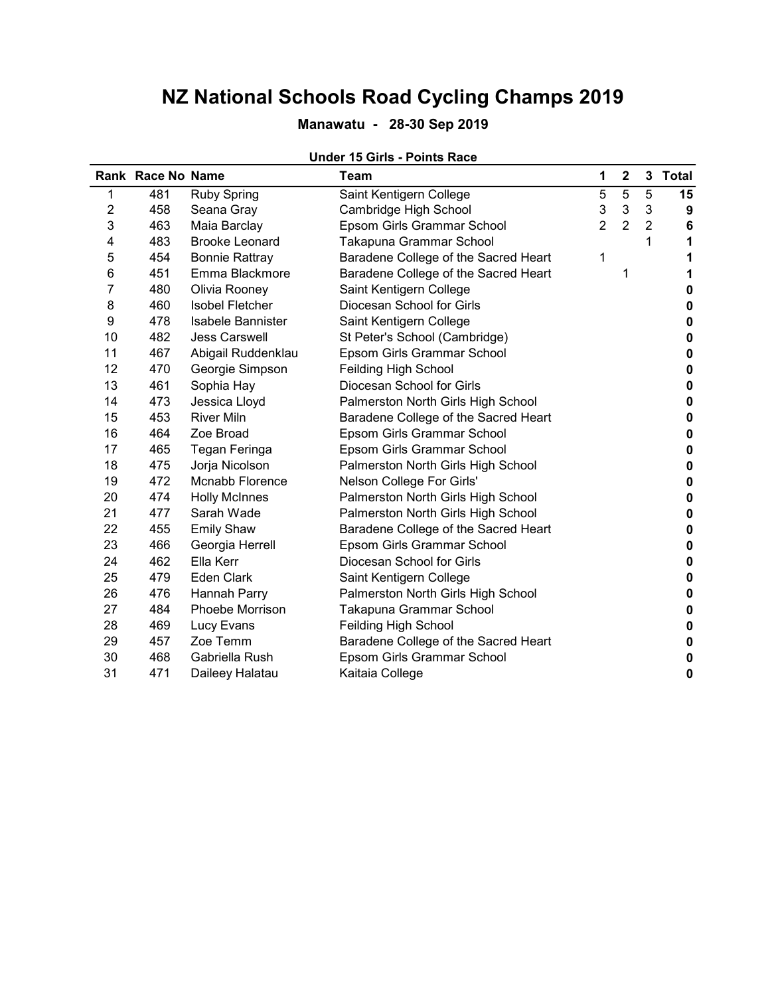## Manawatu - 28-30 Sep 2019

## Under 15 Girls - Points Race

 $\overline{a}$ 

|                | Rank Race No Name |                        | Team                                 | 1              | $\mathbf 2$    |                | 3 Total  |
|----------------|-------------------|------------------------|--------------------------------------|----------------|----------------|----------------|----------|
| 1              | 481               | <b>Ruby Spring</b>     | Saint Kentigern College              | 5              | 5              | 5              | 15       |
| $\overline{2}$ | 458               | Seana Gray             | Cambridge High School                | 3              | $\sqrt{3}$     | 3              | 9        |
| 3              | 463               | Maia Barclay           | Epsom Girls Grammar School           | $\overline{2}$ | $\overline{2}$ | $\overline{2}$ | 6        |
| 4              | 483               | <b>Brooke Leonard</b>  | Takapuna Grammar School              |                |                | 1              | 1        |
| 5              | 454               | <b>Bonnie Rattray</b>  | Baradene College of the Sacred Heart | 1              |                |                | 1        |
| 6              | 451               | Emma Blackmore         | Baradene College of the Sacred Heart |                | 1              |                | 1        |
| 7              | 480               | Olivia Rooney          | Saint Kentigern College              |                |                |                | 0        |
| 8              | 460               | <b>Isobel Fletcher</b> | Diocesan School for Girls            |                |                |                | 0        |
| 9              | 478               | Isabele Bannister      | Saint Kentigern College              |                |                |                | 0        |
| 10             | 482               | <b>Jess Carswell</b>   | St Peter's School (Cambridge)        |                |                |                | 0        |
| 11             | 467               | Abigail Ruddenklau     | Epsom Girls Grammar School           |                |                |                | 0        |
| 12             | 470               | Georgie Simpson        | Feilding High School                 |                |                |                | 0        |
| 13             | 461               | Sophia Hay             | Diocesan School for Girls            |                |                |                | $\bf{0}$ |
| 14             | 473               | Jessica Lloyd          | Palmerston North Girls High School   |                |                |                | 0        |
| 15             | 453               | <b>River Miln</b>      | Baradene College of the Sacred Heart |                |                |                | 0        |
| 16             | 464               | Zoe Broad              | Epsom Girls Grammar School           |                |                |                | $\bf{0}$ |
| 17             | 465               | Tegan Feringa          | Epsom Girls Grammar School           |                |                |                | 0        |
| 18             | 475               | Jorja Nicolson         | Palmerston North Girls High School   |                |                |                | 0        |
| 19             | 472               | Mcnabb Florence        | Nelson College For Girls'            |                |                |                | 0        |
| 20             | 474               | <b>Holly McInnes</b>   | Palmerston North Girls High School   |                |                |                | 0        |
| 21             | 477               | Sarah Wade             | Palmerston North Girls High School   |                |                |                | 0        |
| 22             | 455               | <b>Emily Shaw</b>      | Baradene College of the Sacred Heart |                |                |                | 0        |
| 23             | 466               | Georgia Herrell        | Epsom Girls Grammar School           |                |                |                | 0        |
| 24             | 462               | Ella Kerr              | Diocesan School for Girls            |                |                |                | 0        |
| 25             | 479               | <b>Eden Clark</b>      | Saint Kentigern College              |                |                |                | $\bf{0}$ |
| 26             | 476               | Hannah Parry           | Palmerston North Girls High School   |                |                |                | 0        |
| 27             | 484               | Phoebe Morrison        | Takapuna Grammar School              |                |                |                | 0        |
| 28             | 469               | Lucy Evans             | <b>Feilding High School</b>          |                |                |                | 0        |
| 29             | 457               | Zoe Temm               | Baradene College of the Sacred Heart |                |                |                | $\bf{0}$ |
| 30             | 468               | Gabriella Rush         | Epsom Girls Grammar School           |                |                |                | 0        |
| 31             | 471               | Daileey Halatau        | Kaitaia College                      |                |                |                | 0        |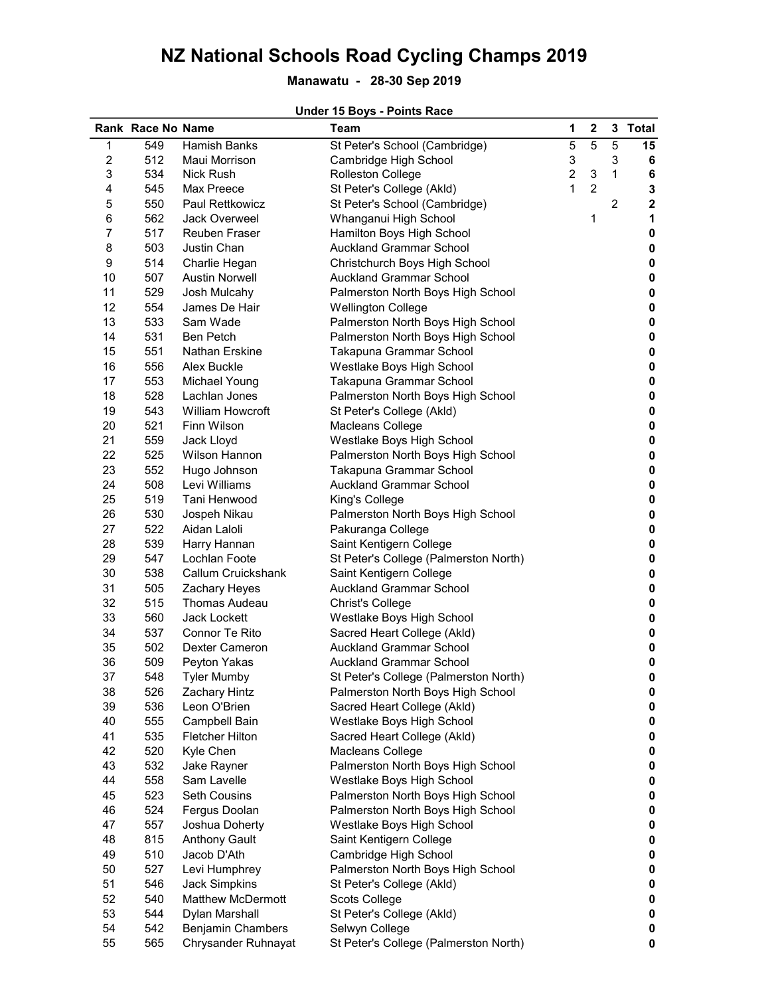## Manawatu - 28-30 Sep 2019

#### Under 15 Boys - Points Race

|                         | Rank Race No Name |                          | Team                                  | 1              | $\mathbf 2$               |                | 3 Total     |
|-------------------------|-------------------|--------------------------|---------------------------------------|----------------|---------------------------|----------------|-------------|
| 1                       | 549               | Hamish Banks             | St Peter's School (Cambridge)         | 5              | 5                         | 5              | 15          |
| $\overline{\mathbf{c}}$ | 512               | Maui Morrison            | Cambridge High School                 | 3              |                           | 3              | 6           |
| 3                       | 534               | Nick Rush                | <b>Rolleston College</b>              | $\overline{2}$ | $\ensuremath{\mathsf{3}}$ | 1              | 6           |
| 4                       | 545               | Max Preece               | St Peter's College (Akld)             | 1              | $\overline{c}$            |                | 3           |
| 5                       | 550               | Paul Rettkowicz          | St Peter's School (Cambridge)         |                |                           | $\overline{2}$ | $\mathbf 2$ |
| 6                       | 562               | Jack Overweel            | Whanganui High School                 |                | 1                         |                | 1           |
| 7                       | 517               | Reuben Fraser            | Hamilton Boys High School             |                |                           |                | 0           |
| 8                       | 503               | Justin Chan              | <b>Auckland Grammar School</b>        |                |                           |                | 0           |
| 9                       | 514               | Charlie Hegan            | Christchurch Boys High School         |                |                           |                | $\pmb{0}$   |
| 10                      | 507               | <b>Austin Norwell</b>    | <b>Auckland Grammar School</b>        |                |                           |                | $\pmb{0}$   |
| 11                      | 529               | Josh Mulcahy             | Palmerston North Boys High School     |                |                           |                | $\pmb{0}$   |
| 12                      | 554               | James De Hair            | <b>Wellington College</b>             |                |                           |                | $\pmb{0}$   |
| 13                      | 533               | Sam Wade                 | Palmerston North Boys High School     |                |                           |                | $\pmb{0}$   |
| 14                      | 531               | <b>Ben Petch</b>         | Palmerston North Boys High School     |                |                           |                | $\pmb{0}$   |
| 15                      | 551               | Nathan Erskine           | Takapuna Grammar School               |                |                           |                | $\pmb{0}$   |
| 16                      | 556               | Alex Buckle              | Westlake Boys High School             |                |                           |                | $\pmb{0}$   |
| 17                      | 553               | Michael Young            | Takapuna Grammar School               |                |                           |                | $\pmb{0}$   |
| 18                      | 528               | Lachlan Jones            | Palmerston North Boys High School     |                |                           |                | $\pmb{0}$   |
| 19                      | 543               | <b>William Howcroft</b>  | St Peter's College (Akld)             |                |                           |                | $\pmb{0}$   |
| 20                      | 521               | Finn Wilson              | Macleans College                      |                |                           |                | $\pmb{0}$   |
| 21                      | 559               | Jack Lloyd               | Westlake Boys High School             |                |                           |                | $\pmb{0}$   |
| 22                      | 525               | Wilson Hannon            | Palmerston North Boys High School     |                |                           |                | $\pmb{0}$   |
| 23                      | 552               | Hugo Johnson             | Takapuna Grammar School               |                |                           |                | $\pmb{0}$   |
| 24                      | 508               | Levi Williams            | <b>Auckland Grammar School</b>        |                |                           |                | $\pmb{0}$   |
| 25                      | 519               | Tani Henwood             | King's College                        |                |                           |                | $\pmb{0}$   |
| 26                      | 530               | Jospeh Nikau             | Palmerston North Boys High School     |                |                           |                | $\pmb{0}$   |
| 27                      | 522               | Aidan Laloli             | Pakuranga College                     |                |                           |                | $\pmb{0}$   |
| 28                      | 539               | Harry Hannan             | Saint Kentigern College               |                |                           |                | $\pmb{0}$   |
| 29                      | 547               | Lochlan Foote            | St Peter's College (Palmerston North) |                |                           |                | $\pmb{0}$   |
| 30                      | 538               | Callum Cruickshank       | Saint Kentigern College               |                |                           |                | 0           |
| 31                      | 505               | Zachary Heyes            | <b>Auckland Grammar School</b>        |                |                           |                | $\pmb{0}$   |
| 32                      | 515               | Thomas Audeau            | Christ's College                      |                |                           |                | $\pmb{0}$   |
| 33                      | 560               | <b>Jack Lockett</b>      | Westlake Boys High School             |                |                           |                | $\pmb{0}$   |
| 34                      | 537               | Connor Te Rito           | Sacred Heart College (Akld)           |                |                           |                | $\pmb{0}$   |
| 35                      | 502               | Dexter Cameron           | <b>Auckland Grammar School</b>        |                |                           |                | $\pmb{0}$   |
| 36                      | 509               | Peyton Yakas             | <b>Auckland Grammar School</b>        |                |                           |                | $\pmb{0}$   |
| 37                      | 548               | <b>Tyler Mumby</b>       | St Peter's College (Palmerston North) |                |                           |                | 0           |
| 38                      | 526               | Zachary Hintz            | Palmerston North Boys High School     |                |                           |                | 0           |
| 39                      | 536               | Leon O'Brien             | Sacred Heart College (Akld)           |                |                           |                | 0           |
| 40                      | 555               | Campbell Bain            | Westlake Boys High School             |                |                           |                | 0           |
| 41                      | 535               | Fletcher Hilton          | Sacred Heart College (Akld)           |                |                           |                | $\pmb{0}$   |
| 42                      | 520               | Kyle Chen                | Macleans College                      |                |                           |                | $\pmb{0}$   |
| 43                      | 532               | Jake Rayner              | Palmerston North Boys High School     |                |                           |                | $\pmb{0}$   |
| 44                      | 558               | Sam Lavelle              | Westlake Boys High School             |                |                           |                | $\pmb{0}$   |
| 45                      | 523               | <b>Seth Cousins</b>      | Palmerston North Boys High School     |                |                           |                | $\pmb{0}$   |
| 46                      | 524               | Fergus Doolan            | Palmerston North Boys High School     |                |                           |                | $\pmb{0}$   |
| 47                      | 557               | Joshua Doherty           | Westlake Boys High School             |                |                           |                | $\pmb{0}$   |
| 48                      | 815               | <b>Anthony Gault</b>     | Saint Kentigern College               |                |                           |                | $\pmb{0}$   |
| 49                      | 510               | Jacob D'Ath              | Cambridge High School                 |                |                           |                | $\pmb{0}$   |
| 50                      | 527               | Levi Humphrey            | Palmerston North Boys High School     |                |                           |                | $\pmb{0}$   |
| 51                      | 546               | <b>Jack Simpkins</b>     | St Peter's College (Akld)             |                |                           |                | $\pmb{0}$   |
| 52                      | 540               | <b>Matthew McDermott</b> | Scots College                         |                |                           |                | $\pmb{0}$   |
| 53                      | 544               | Dylan Marshall           | St Peter's College (Akld)             |                |                           |                | $\pmb{0}$   |
| 54                      | 542               | <b>Benjamin Chambers</b> | Selwyn College                        |                |                           |                | 0           |
| 55                      | 565               | Chrysander Ruhnayat      | St Peter's College (Palmerston North) |                |                           |                | $\mathbf 0$ |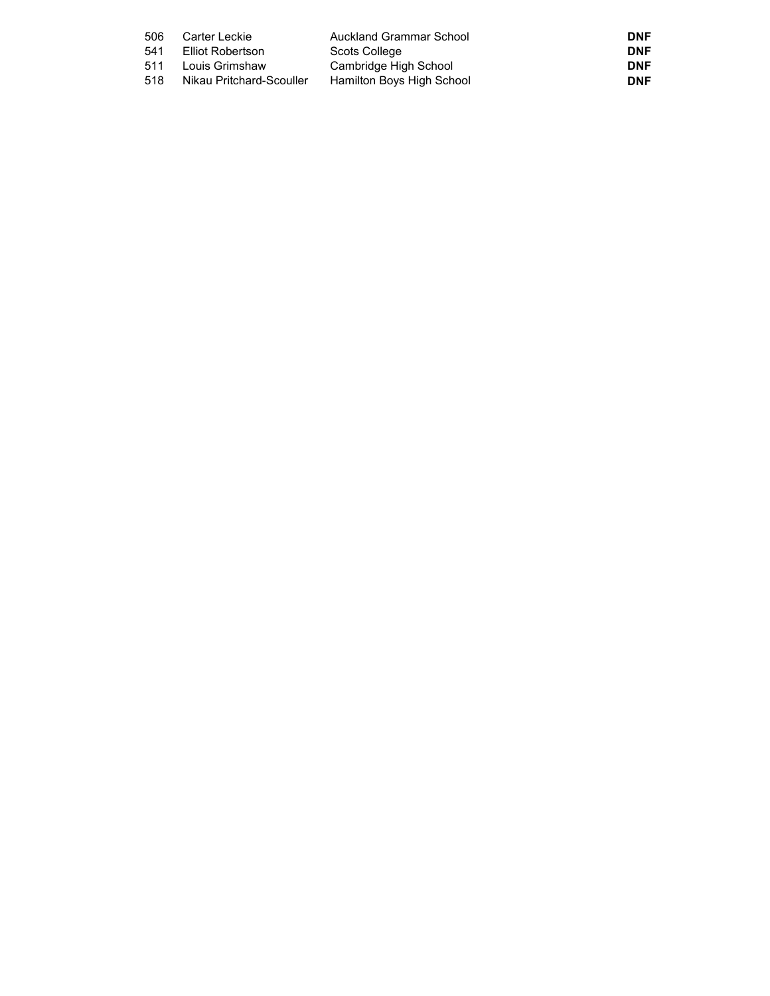| 506 | Carter Leckie            | Auckland Grammar School   | <b>DNF</b> |
|-----|--------------------------|---------------------------|------------|
| 541 | Elliot Robertson         | Scots College             | <b>DNF</b> |
| 511 | Louis Grimshaw           | Cambridge High School     | <b>DNF</b> |
| 518 | Nikau Pritchard-Scouller | Hamilton Boys High School | <b>DNF</b> |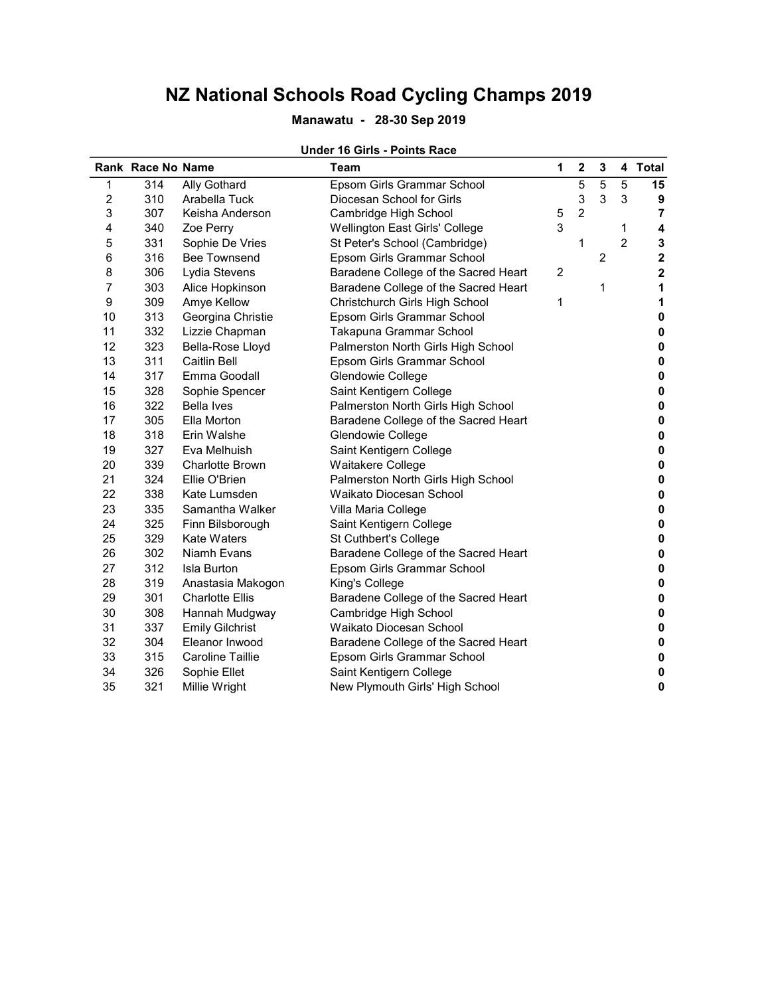### Manawatu - 28-30 Sep 2019

#### Under 16 Girls - Points Race

|    | <b>Rank Race No Name</b> |                        | <b>Team</b>                          | 1              | $\mathbf 2$    | 3 |                | 4 Total        |
|----|--------------------------|------------------------|--------------------------------------|----------------|----------------|---|----------------|----------------|
| 1  | 314                      | Ally Gothard           | Epsom Girls Grammar School           |                | 5              | 5 | 5              | 15             |
| 2  | 310                      | Arabella Tuck          | Diocesan School for Girls            |                | 3              | 3 | 3              | 9              |
| 3  | 307                      | Keisha Anderson        | Cambridge High School                | 5              | $\overline{2}$ |   |                | $\overline{7}$ |
| 4  | 340                      | Zoe Perry              | Wellington East Girls' College       | 3              |                |   | 1              | 4              |
| 5  | 331                      | Sophie De Vries        | St Peter's School (Cambridge)        |                | 1              |   | $\overline{2}$ | 3              |
| 6  | 316                      | <b>Bee Townsend</b>    | Epsom Girls Grammar School           |                |                | 2 |                | $\mathbf 2$    |
| 8  | 306                      | Lydia Stevens          | Baradene College of the Sacred Heart | $\overline{c}$ |                |   |                | $\mathbf 2$    |
| 7  | 303                      | Alice Hopkinson        | Baradene College of the Sacred Heart |                |                | 1 |                | 1              |
| 9  | 309                      | Amye Kellow            | Christchurch Girls High School       | 1              |                |   |                | 1              |
| 10 | 313                      | Georgina Christie      | Epsom Girls Grammar School           |                |                |   |                | 0              |
| 11 | 332                      | Lizzie Chapman         | Takapuna Grammar School              |                |                |   |                | 0              |
| 12 | 323                      | Bella-Rose Lloyd       | Palmerston North Girls High School   |                |                |   |                | 0              |
| 13 | 311                      | <b>Caitlin Bell</b>    | Epsom Girls Grammar School           |                |                |   |                | $\pmb{0}$      |
| 14 | 317                      | Emma Goodall           | Glendowie College                    |                |                |   |                | 0              |
| 15 | 328                      | Sophie Spencer         | Saint Kentigern College              |                |                |   |                | 0              |
| 16 | 322                      | <b>Bella Ives</b>      | Palmerston North Girls High School   |                |                |   |                | 0              |
| 17 | 305                      | Ella Morton            | Baradene College of the Sacred Heart |                |                |   |                | 0              |
| 18 | 318                      | Erin Walshe            | Glendowie College                    |                |                |   |                | 0              |
| 19 | 327                      | Eva Melhuish           | Saint Kentigern College              |                |                |   |                | 0              |
| 20 | 339                      | <b>Charlotte Brown</b> | Waitakere College                    |                |                |   |                | 0              |
| 21 | 324                      | Ellie O'Brien          | Palmerston North Girls High School   |                |                |   |                | 0              |
| 22 | 338                      | Kate Lumsden           | Waikato Diocesan School              |                |                |   |                | 0              |
| 23 | 335                      | Samantha Walker        | Villa Maria College                  |                |                |   |                | 0              |
| 24 | 325                      | Finn Bilsborough       | Saint Kentigern College              |                |                |   |                | 0              |
| 25 | 329                      | <b>Kate Waters</b>     | St Cuthbert's College                |                |                |   |                | 0              |
| 26 | 302                      | Niamh Evans            | Baradene College of the Sacred Heart |                |                |   |                | 0              |
| 27 | 312                      | <b>Isla Burton</b>     | Epsom Girls Grammar School           |                |                |   |                | 0              |
| 28 | 319                      | Anastasia Makogon      | King's College                       |                |                |   |                | 0              |
| 29 | 301                      | <b>Charlotte Ellis</b> | Baradene College of the Sacred Heart |                |                |   |                | 0              |
| 30 | 308                      | Hannah Mudgway         | Cambridge High School                |                |                |   |                | 0              |
| 31 | 337                      | <b>Emily Gilchrist</b> | Waikato Diocesan School              |                |                |   |                | 0              |
| 32 | 304                      | Eleanor Inwood         | Baradene College of the Sacred Heart |                |                |   |                | 0              |
| 33 | 315                      | Caroline Taillie       | Epsom Girls Grammar School           |                |                |   |                | 0              |
| 34 | 326                      | Sophie Ellet           | Saint Kentigern College              |                |                |   |                | 0              |
| 35 | 321                      | Millie Wright          | New Plymouth Girls' High School      |                |                |   |                | 0              |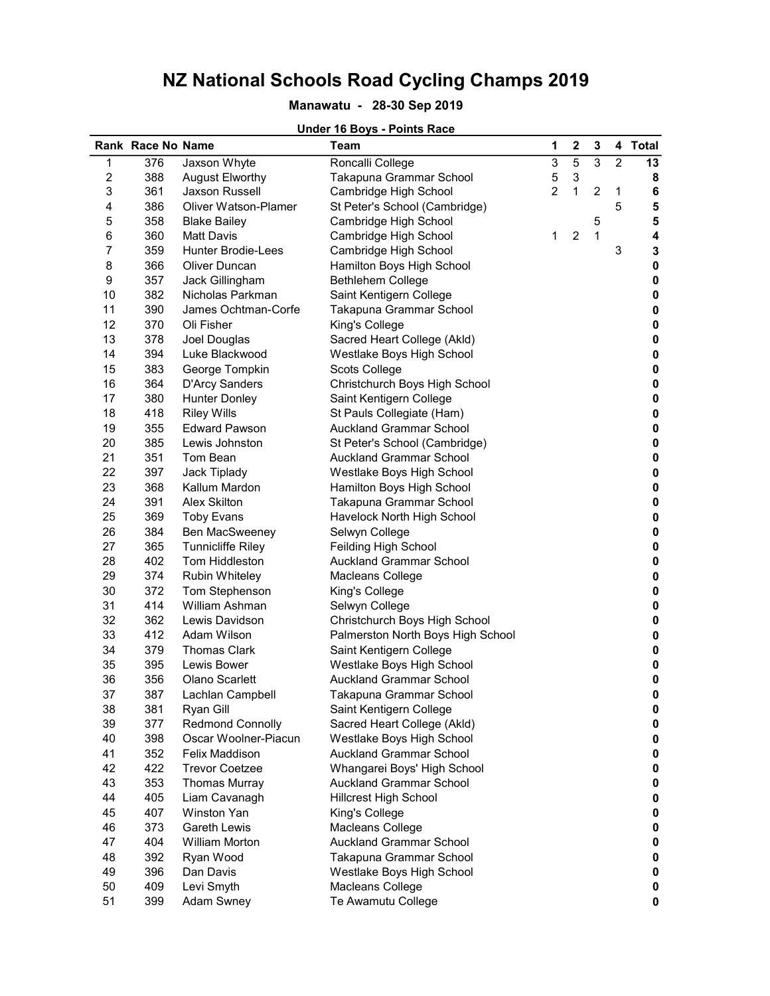#### Manawatu - 28-30 Sep 2019

#### Rank Race No Name **Team** 1 2 3 4 Total 1 376 Jaxson Whyte Roncalli College 3 5 3 2 13 2 388 August Elworthy Takapuna Grammar School 5 3 8 3 361 Jaxson Russell Cambridge High School 2 1 2 1 6 4 386 Oliver Watson-Plamer St Peter's School (Cambridge) 5 5 358 Blake Bailey Cambridge High School 5 6 360 Matt Davis Cambridge High School 1 2 1 4 7 359 Hunter Brodie-Lees Cambridge High School 3 3 3 8 366 Oliver Duncan Hamilton Boys High School 0 0 9 357 Jack Gillingham Bethlehem College 0 10 382 Nicholas Parkman Saint Kentigern College **12 College** 10 0 11 390 James Ochtman-Corfe Takapuna Grammar School 0 12 370 Oli Fisher King's College College 20 20 20 13 378 Joel Douglas Sacred Heart College (Akld) 0 14 394 Luke Blackwood Westlake Boys High School 15 383 George Tompkin Scots College 19 Scots College 19 Section 19 Scots College 1 16 364 D'Arcy Sanders Christchurch Boys High School 0 17 380 Hunter Donley Saint Kentigern College **0 and College** 0 18 418 Riley Wills St Pauls Collegiate (Ham) **0 0** 19 355 Edward Pawson Auckland Grammar School 0 20 385 Lewis Johnston St Peter's School (Cambridge) 385 Lewis Johnston 0 21 351 Tom Bean **Auckland Grammar School 0 0** 22 397 Jack Tiplady Westlake Boys High School 0 23 368 Kallum Mardon Hamilton Boys High School 0 24 391 Alex Skilton Takapuna Grammar School 0 25 369 Toby Evans Havelock North High School 25 369 Toby Evans 26 384 Ben MacSweeney Selwyn College 0 27 365 Tunnicliffe Riley Feilding High School 28 402 Tom Hiddleston **Auckland Grammar School 0** 29 374 Rubin Whiteley Macleans College 0 30 372 Tom Stephenson King's College 0 31 414 William Ashman Selwyn College 0 32 362 Lewis Davidson Christchurch Boys High School 0 33 412 Adam Wilson Palmerston North Boys High School 0 34 379 Thomas Clark Saint Kentigern College 0 35 395 Lewis Bower Westlake Boys High School 0 36 356 Olano Scarlett Auckland Grammar School 0 37 387 Lachlan Campbell Takapuna Grammar School 0 38 381 Ryan Gill Saint Kentigern College **0 and Saint Kentigern College** 0 39 377 Redmond Connolly Sacred Heart College (Akld) 0 40 398 Oscar Woolner-Piacun Westlake Boys High School 0 41 352 Felix Maddison **Auckland Grammar School 0** 42 422 Trevor Coetzee Whangarei Boys' High School 0 43 353 Thomas Murray **Auckland Grammar School Communist Communist Communist Communist Communist Communist Communist Communist Communist Communist Communist Communist Communist Communist Communist Communist Communist Comm** 44 405 Liam Cavanagh Hillcrest High School 0 45 407 Winston Yan **King's College 19th College 12** 12 12 13 14 15 16 17 18 18 19 19 19 19 19 19 19 19 19 19 1 46 373 Gareth Lewis Macleans College 0 47 404 William Morton **Auckland Grammar School 0** 48 392 Ryan Wood Takapuna Grammar School 0 49 396 Dan Davis Westlake Boys High School 50 409 Levi Smyth Macleans College 0 51 399 Adam Swney Te Awamutu College 0

#### Under 16 Boys - Points Race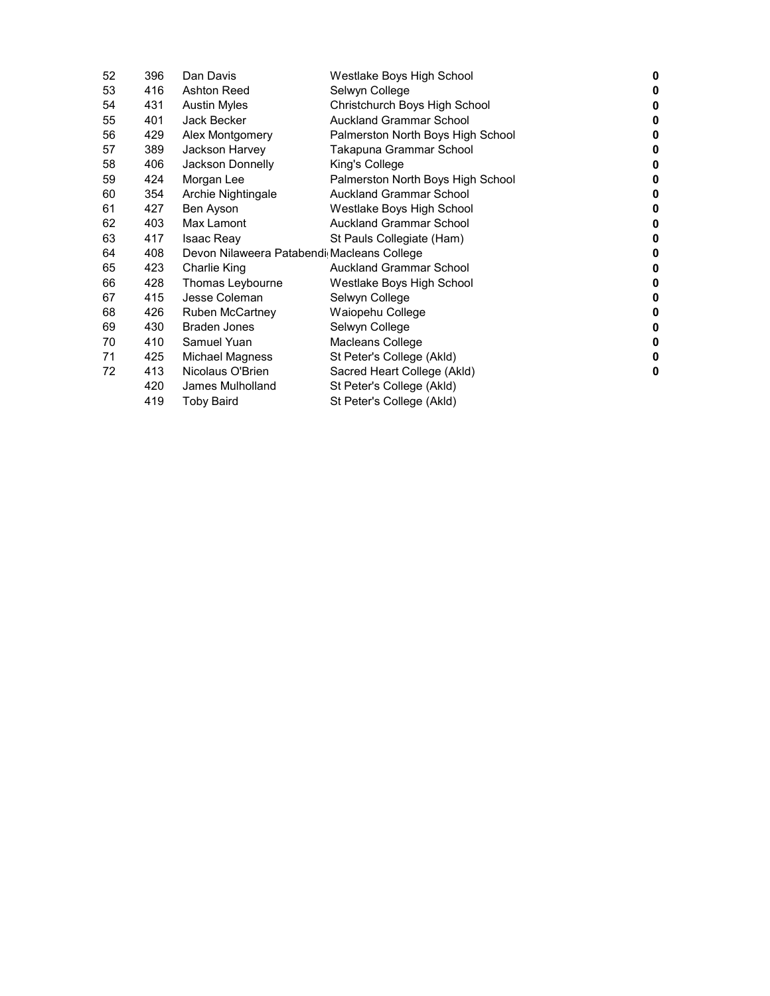| 52 | 396 | Dan Davis                                  | Westlake Boys High School         | 0 |
|----|-----|--------------------------------------------|-----------------------------------|---|
| 53 | 416 | Ashton Reed                                | Selwyn College                    | 0 |
| 54 | 431 | <b>Austin Myles</b>                        | Christchurch Boys High School     | 0 |
| 55 | 401 | Jack Becker                                | <b>Auckland Grammar School</b>    | 0 |
| 56 | 429 | Alex Montgomery                            | Palmerston North Boys High School | 0 |
| 57 | 389 | Jackson Harvey                             | Takapuna Grammar School           | 0 |
| 58 | 406 | Jackson Donnelly                           | King's College                    | 0 |
| 59 | 424 | Morgan Lee                                 | Palmerston North Boys High School | 0 |
| 60 | 354 | Archie Nightingale                         | <b>Auckland Grammar School</b>    | 0 |
| 61 | 427 | Ben Ayson                                  | Westlake Boys High School         | 0 |
| 62 | 403 | Max Lamont                                 | <b>Auckland Grammar School</b>    | 0 |
| 63 | 417 | <b>Isaac Reay</b>                          | St Pauls Collegiate (Ham)         | 0 |
| 64 | 408 | Devon Nilaweera Patabendi Macleans College |                                   | 0 |
| 65 | 423 | Charlie King                               | <b>Auckland Grammar School</b>    | 0 |
| 66 | 428 | Thomas Leybourne                           | Westlake Boys High School         | 0 |
| 67 | 415 | Jesse Coleman                              | Selwyn College                    | 0 |
| 68 | 426 | Ruben McCartney                            | Waiopehu College                  | 0 |
| 69 | 430 | Braden Jones                               | Selwyn College                    | 0 |
| 70 | 410 | Samuel Yuan                                | Macleans College                  | 0 |
| 71 | 425 | Michael Magness                            | St Peter's College (Akld)         | 0 |
| 72 | 413 | Nicolaus O'Brien                           | Sacred Heart College (Akld)       | 0 |
|    | 420 | James Mulholland                           | St Peter's College (Akld)         |   |
|    | 419 | <b>Toby Baird</b>                          | St Peter's College (Akld)         |   |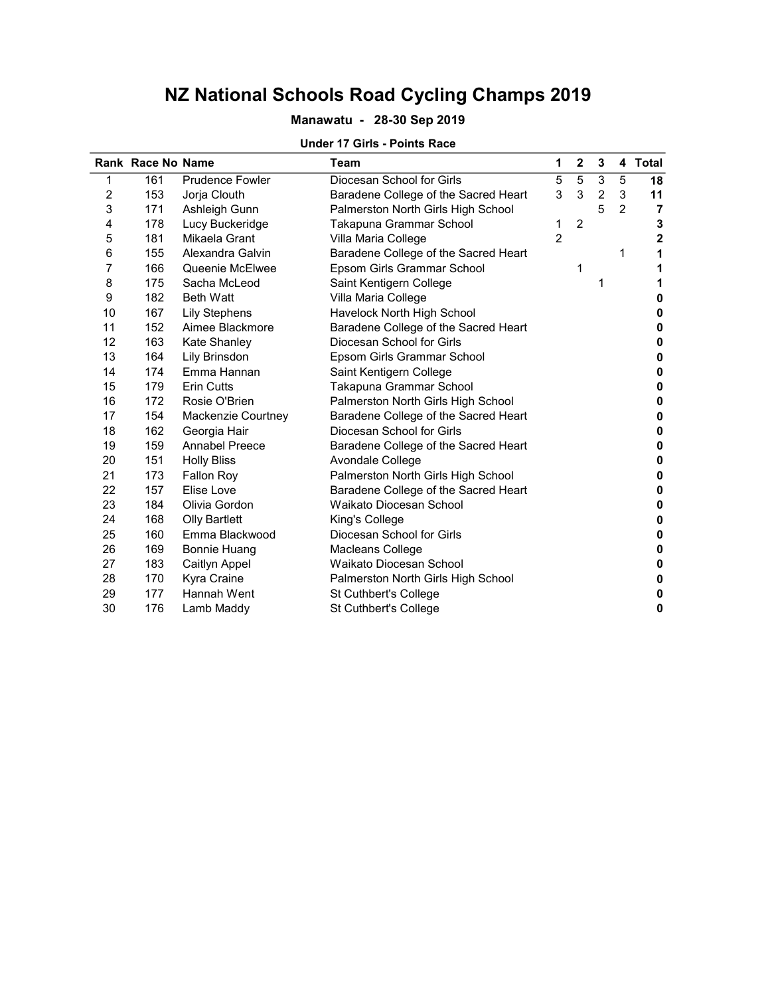### Manawatu - 28-30 Sep 2019

#### Under 17 Girls - Points Race

|                | Rank Race No Name |                        | Team                                 | 1              | $\mathbf 2$    | 3              | 4              | <b>Total</b>     |
|----------------|-------------------|------------------------|--------------------------------------|----------------|----------------|----------------|----------------|------------------|
| 1              | 161               | <b>Prudence Fowler</b> | Diocesan School for Girls            | 5              | 5              | 3              | 5              | 18               |
| $\overline{c}$ | 153               | Jorja Clouth           | Baradene College of the Sacred Heart | 3              | 3              | $\overline{2}$ | 3              | 11               |
| 3              | 171               | Ashleigh Gunn          | Palmerston North Girls High School   |                |                | 5              | $\overline{2}$ | 7                |
| 4              | 178               | Lucy Buckeridge        | Takapuna Grammar School              | 1              | $\overline{c}$ |                |                | 3                |
| 5              | 181               | Mikaela Grant          | Villa Maria College                  | $\overline{2}$ |                |                |                | $\boldsymbol{2}$ |
| 6              | 155               | Alexandra Galvin       | Baradene College of the Sacred Heart |                |                |                | 1              | 1                |
| 7              | 166               | Queenie McElwee        | Epsom Girls Grammar School           |                | 1              |                |                | 1                |
| 8              | 175               | Sacha McLeod           | Saint Kentigern College              |                |                | 1              |                |                  |
| 9              | 182               | <b>Beth Watt</b>       | Villa Maria College                  |                |                |                |                | 0                |
| 10             | 167               | <b>Lily Stephens</b>   | Havelock North High School           |                |                |                |                | 0                |
| 11             | 152               | Aimee Blackmore        | Baradene College of the Sacred Heart |                |                |                |                | 0                |
| 12             | 163               | Kate Shanley           | Diocesan School for Girls            |                |                |                |                | 0                |
| 13             | 164               | Lily Brinsdon          | Epsom Girls Grammar School           |                |                |                |                | 0                |
| 14             | 174               | Emma Hannan            | Saint Kentigern College              |                |                |                |                | 0                |
| 15             | 179               | <b>Erin Cutts</b>      | Takapuna Grammar School              |                |                |                |                | 0                |
| 16             | 172               | Rosie O'Brien          | Palmerston North Girls High School   |                |                |                |                | 0                |
| 17             | 154               | Mackenzie Courtney     | Baradene College of the Sacred Heart |                |                |                |                | 0                |
| 18             | 162               | Georgia Hair           | Diocesan School for Girls            |                |                |                |                | o                |
| 19             | 159               | <b>Annabel Preece</b>  | Baradene College of the Sacred Heart |                |                |                |                | 0                |
| 20             | 151               | <b>Holly Bliss</b>     | Avondale College                     |                |                |                |                | 0                |
| 21             | 173               | <b>Fallon Roy</b>      | Palmerston North Girls High School   |                |                |                |                | 0                |
| 22             | 157               | Elise Love             | Baradene College of the Sacred Heart |                |                |                |                | 0                |
| 23             | 184               | Olivia Gordon          | Waikato Diocesan School              |                |                |                |                | 0                |
| 24             | 168               | <b>Olly Bartlett</b>   | King's College                       |                |                |                |                | 0                |
| 25             | 160               | Emma Blackwood         | Diocesan School for Girls            |                |                |                |                | 0                |
| 26             | 169               | Bonnie Huang           | Macleans College                     |                |                |                |                | 0                |
| 27             | 183               | Caitlyn Appel          | Waikato Diocesan School              |                |                |                |                | 0                |
| 28             | 170               | Kyra Craine            | Palmerston North Girls High School   |                |                |                |                | 0                |
| 29             | 177               | <b>Hannah Went</b>     | St Cuthbert's College                |                |                |                |                | 0                |
| 30             | 176               | Lamb Maddy             | St Cuthbert's College                |                |                |                |                | 0                |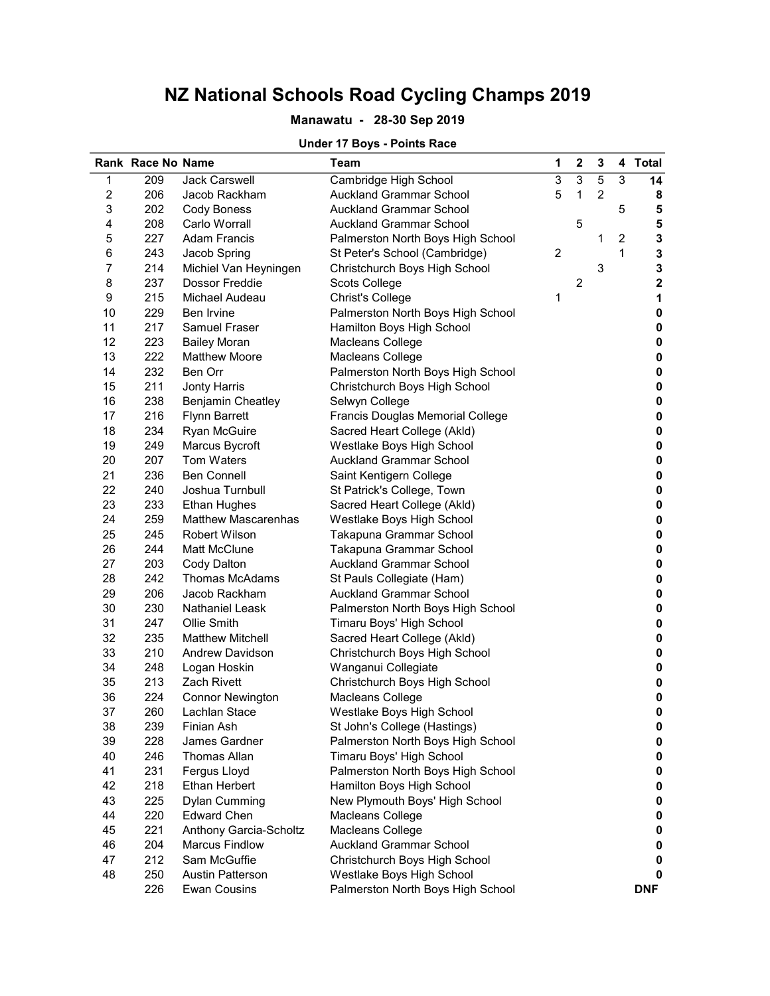### Manawatu - 28-30 Sep 2019

## Under 17 Boys - Points Race

|                           | Rank Race No Name |                            | <b>Team</b>                             | 1 | $\mathbf 2$    | 3              |                         | 4 Total                 |
|---------------------------|-------------------|----------------------------|-----------------------------------------|---|----------------|----------------|-------------------------|-------------------------|
| 1                         | 209               | <b>Jack Carswell</b>       | Cambridge High School                   | 3 | 3              | 5              | 3                       | 14                      |
| $\overline{\mathbf{c}}$   | 206               | Jacob Rackham              | <b>Auckland Grammar School</b>          | 5 | 1              | $\overline{c}$ |                         | 8                       |
| $\ensuremath{\mathsf{3}}$ | 202               | Cody Boness                | Auckland Grammar School                 |   |                |                | 5                       | 5                       |
| $\overline{\mathbf{4}}$   | 208               | Carlo Worrall              | <b>Auckland Grammar School</b>          |   | 5              |                |                         | 5                       |
| 5                         | 227               | <b>Adam Francis</b>        | Palmerston North Boys High School       |   |                | 1              | $\overline{\mathbf{c}}$ | 3                       |
| $\,6$                     | 243               | Jacob Spring               | St Peter's School (Cambridge)           | 2 |                |                | 1                       | 3                       |
| $\overline{7}$            | 214               | Michiel Van Heyningen      | Christchurch Boys High School           |   |                | 3              |                         | 3                       |
| 8                         | 237               | Dossor Freddie             | Scots College                           |   | $\overline{c}$ |                |                         | $\overline{\mathbf{2}}$ |
| 9                         | 215               | Michael Audeau             | <b>Christ's College</b>                 | 1 |                |                |                         | 1                       |
| 10                        | 229               | Ben Irvine                 | Palmerston North Boys High School       |   |                |                |                         | 0                       |
| 11                        | 217               | <b>Samuel Fraser</b>       | Hamilton Boys High School               |   |                |                |                         | 0                       |
| 12                        | 223               | <b>Bailey Moran</b>        | Macleans College                        |   |                |                |                         | 0                       |
| 13                        | 222               | <b>Matthew Moore</b>       | Macleans College                        |   |                |                |                         | 0                       |
| 14                        | 232               | Ben Orr                    | Palmerston North Boys High School       |   |                |                |                         | 0                       |
| 15                        | 211               | <b>Jonty Harris</b>        | Christchurch Boys High School           |   |                |                |                         | 0                       |
| 16                        | 238               | Benjamin Cheatley          | Selwyn College                          |   |                |                |                         | 0                       |
| 17                        | 216               | <b>Flynn Barrett</b>       | <b>Francis Douglas Memorial College</b> |   |                |                |                         | $\pmb{0}$               |
| 18                        | 234               | <b>Ryan McGuire</b>        | Sacred Heart College (Akld)             |   |                |                |                         | 0                       |
| 19                        | 249               | Marcus Bycroft             | Westlake Boys High School               |   |                |                |                         | 0                       |
| 20                        | 207               | Tom Waters                 | <b>Auckland Grammar School</b>          |   |                |                |                         | 0                       |
| 21                        | 236               | <b>Ben Connell</b>         | Saint Kentigern College                 |   |                |                |                         | 0                       |
| 22                        | 240               | Joshua Turnbull            | St Patrick's College, Town              |   |                |                |                         | 0                       |
| 23                        | 233               | <b>Ethan Hughes</b>        | Sacred Heart College (Akld)             |   |                |                |                         | 0                       |
| 24                        | 259               | <b>Matthew Mascarenhas</b> | Westlake Boys High School               |   |                |                |                         | 0                       |
| 25                        | 245               | <b>Robert Wilson</b>       | Takapuna Grammar School                 |   |                |                |                         | 0                       |
| 26                        | 244               | Matt McClune               | Takapuna Grammar School                 |   |                |                |                         | 0                       |
| 27                        | 203               | Cody Dalton                | <b>Auckland Grammar School</b>          |   |                |                |                         | 0                       |
| 28                        | 242               | <b>Thomas McAdams</b>      | St Pauls Collegiate (Ham)               |   |                |                |                         | 0                       |
| 29                        | 206               | Jacob Rackham              | <b>Auckland Grammar School</b>          |   |                |                |                         | 0                       |
| 30                        | 230               | <b>Nathaniel Leask</b>     | Palmerston North Boys High School       |   |                |                |                         | 0                       |
| 31                        | 247               | Ollie Smith                | Timaru Boys' High School                |   |                |                |                         | 0                       |
| 32                        | 235               | <b>Matthew Mitchell</b>    | Sacred Heart College (Akld)             |   |                |                |                         | 0                       |
| 33                        | 210               | Andrew Davidson            | Christchurch Boys High School           |   |                |                |                         | 0                       |
| 34                        | 248               | Logan Hoskin               | Wanganui Collegiate                     |   |                |                |                         | 0                       |
| 35                        | 213               | Zach Rivett                | Christchurch Boys High School           |   |                |                |                         | 0                       |
| 36                        | 224               | <b>Connor Newington</b>    | Macleans College                        |   |                |                |                         | $\pmb{0}$               |
| 37                        | 260               | Lachlan Stace              | Westlake Boys High School               |   |                |                |                         | 0                       |
| 38                        | 239               | Finian Ash                 | St John's College (Hastings)            |   |                |                |                         | 0                       |
| 39                        | 228               | James Gardner              | Palmerston North Boys High School       |   |                |                |                         | 0                       |
| 40                        | 246               | <b>Thomas Allan</b>        | Timaru Boys' High School                |   |                |                |                         | 0                       |
| 41                        | 231               | Fergus Lloyd               | Palmerston North Boys High School       |   |                |                |                         | 0                       |
| 42                        | 218               | <b>Ethan Herbert</b>       | Hamilton Boys High School               |   |                |                |                         | 0                       |
| 43                        | 225               | <b>Dylan Cumming</b>       | New Plymouth Boys' High School          |   |                |                |                         | 0                       |
| 44                        | 220               | <b>Edward Chen</b>         | Macleans College                        |   |                |                |                         | 0                       |
| 45                        | 221               | Anthony Garcia-Scholtz     | Macleans College                        |   |                |                |                         | 0                       |
| 46                        | 204               | <b>Marcus Findlow</b>      | <b>Auckland Grammar School</b>          |   |                |                |                         | 0                       |
| 47                        | 212               | Sam McGuffie               | Christchurch Boys High School           |   |                |                |                         | 0                       |
| 48                        | 250               | <b>Austin Patterson</b>    | Westlake Boys High School               |   |                |                |                         | 0                       |
|                           | 226               | <b>Ewan Cousins</b>        | Palmerston North Boys High School       |   |                |                |                         | <b>DNF</b>              |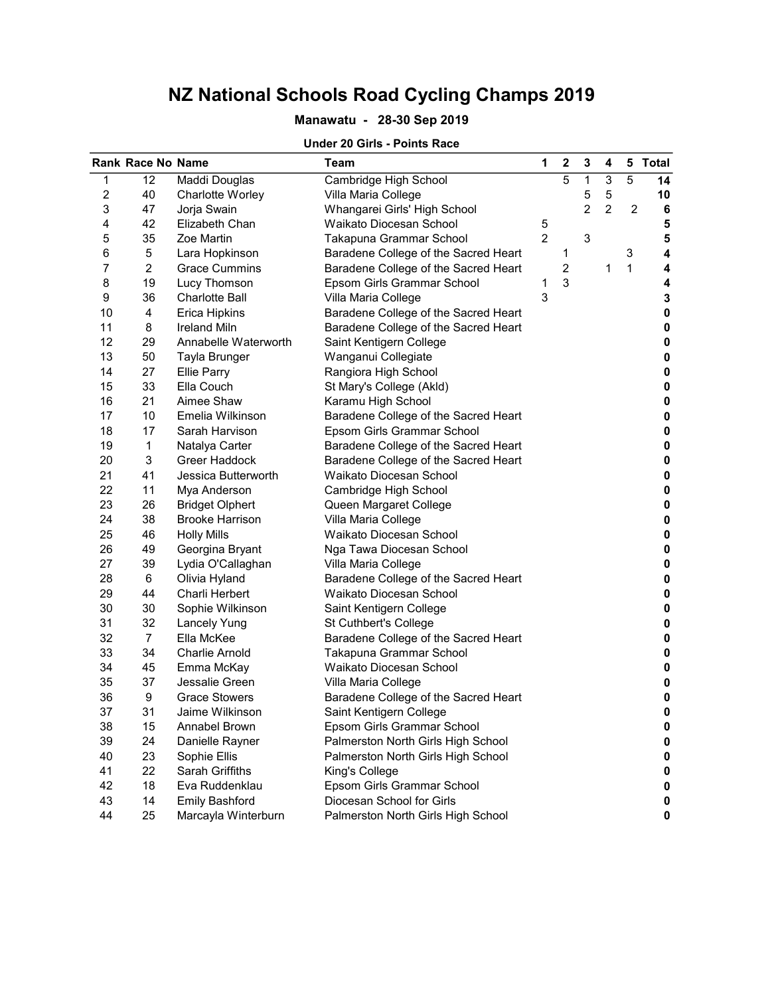### Manawatu - 28-30 Sep 2019

#### Under 20 Girls - Points Race

|                  | <b>Rank Race No Name</b> |                        | Team                                 | 1              | 2              | 3 | 4              | 5              | <b>Total</b> |
|------------------|--------------------------|------------------------|--------------------------------------|----------------|----------------|---|----------------|----------------|--------------|
| 1                | 12                       | Maddi Douglas          | Cambridge High School                |                | 5              | 1 | 3              | 5              | 14           |
| $\boldsymbol{2}$ | 40                       | Charlotte Worley       | Villa Maria College                  |                |                | 5 | 5              |                | 10           |
| 3                | 47                       | Jorja Swain            | Whangarei Girls' High School         |                |                | 2 | $\overline{2}$ | $\overline{c}$ | 6            |
| 4                | 42                       | Elizabeth Chan         | Waikato Diocesan School              | 5              |                |   |                |                | 5            |
| 5                | 35                       | Zoe Martin             | Takapuna Grammar School              | $\overline{2}$ |                | 3 |                |                | 5            |
| 6                | 5                        | Lara Hopkinson         | Baradene College of the Sacred Heart |                | 1              |   |                | 3              | 4            |
| 7                | $\overline{a}$           | <b>Grace Cummins</b>   | Baradene College of the Sacred Heart |                | $\overline{c}$ |   | 1              | $\mathbf{1}$   | 4            |
| 8                | 19                       | Lucy Thomson           | Epsom Girls Grammar School           | 1              | 3              |   |                |                | 4            |
| 9                | 36                       | <b>Charlotte Ball</b>  | Villa Maria College                  | 3              |                |   |                |                | 3            |
| 10               | 4                        | <b>Erica Hipkins</b>   | Baradene College of the Sacred Heart |                |                |   |                |                | 0            |
| 11               | 8                        | <b>Ireland Miln</b>    | Baradene College of the Sacred Heart |                |                |   |                |                | 0            |
| 12               | 29                       | Annabelle Waterworth   | Saint Kentigern College              |                |                |   |                |                | 0            |
| 13               | 50                       | Tayla Brunger          | Wanganui Collegiate                  |                |                |   |                |                | 0            |
| 14               | 27                       | <b>Ellie Parry</b>     | Rangiora High School                 |                |                |   |                |                | $\pmb{0}$    |
| 15               | 33                       | Ella Couch             | St Mary's College (Akld)             |                |                |   |                |                | $\pmb{0}$    |
| 16               | 21                       | Aimee Shaw             | Karamu High School                   |                |                |   |                |                | $\pmb{0}$    |
| 17               | 10                       | Emelia Wilkinson       | Baradene College of the Sacred Heart |                |                |   |                |                | $\pmb{0}$    |
| 18               | 17                       | Sarah Harvison         | Epsom Girls Grammar School           |                |                |   |                |                | $\pmb{0}$    |
| 19               | $\mathbf{1}$             | Natalya Carter         | Baradene College of the Sacred Heart |                |                |   |                |                | $\pmb{0}$    |
| 20               | 3                        | Greer Haddock          | Baradene College of the Sacred Heart |                |                |   |                |                | $\pmb{0}$    |
| 21               | 41                       | Jessica Butterworth    | Waikato Diocesan School              |                |                |   |                |                | $\pmb{0}$    |
| 22               | 11                       | Mya Anderson           | Cambridge High School                |                |                |   |                |                | $\pmb{0}$    |
| 23               | 26                       | <b>Bridget Olphert</b> | Queen Margaret College               |                |                |   |                |                | $\pmb{0}$    |
| 24               | 38                       | <b>Brooke Harrison</b> | Villa Maria College                  |                |                |   |                |                | $\pmb{0}$    |
| 25               | 46                       | <b>Holly Mills</b>     | Waikato Diocesan School              |                |                |   |                |                | 0            |
| 26               | 49                       | Georgina Bryant        | Nga Tawa Diocesan School             |                |                |   |                |                | 0            |
| 27               | 39                       | Lydia O'Callaghan      | Villa Maria College                  |                |                |   |                |                | $\pmb{0}$    |
| 28               | 6                        | Olivia Hyland          | Baradene College of the Sacred Heart |                |                |   |                |                | 0            |
| 29               | 44                       | Charli Herbert         | Waikato Diocesan School              |                |                |   |                |                | 0            |
| 30               | 30                       | Sophie Wilkinson       | Saint Kentigern College              |                |                |   |                |                | 0            |
| 31               | 32                       | <b>Lancely Yung</b>    | St Cuthbert's College                |                |                |   |                |                | 0            |
| 32               | $\overline{7}$           | Ella McKee             | Baradene College of the Sacred Heart |                |                |   |                |                | 0            |
| 33               | 34                       | <b>Charlie Arnold</b>  | Takapuna Grammar School              |                |                |   |                |                | $\pmb{0}$    |
| 34               | 45                       | Emma McKay             | Waikato Diocesan School              |                |                |   |                |                | $\pmb{0}$    |
| 35               | 37                       | Jessalie Green         | Villa Maria College                  |                |                |   |                |                | $\pmb{0}$    |
| 36               | 9                        | <b>Grace Stowers</b>   | Baradene College of the Sacred Heart |                |                |   |                |                | $\pmb{0}$    |
| 37               | 31                       | Jaime Wilkinson        | Saint Kentigern College              |                |                |   |                |                | 0            |
| 38               | 15                       | Annabel Brown          | Epsom Girls Grammar School           |                |                |   |                |                | 0            |
| 39               | 24                       | Danielle Rayner        | Palmerston North Girls High School   |                |                |   |                |                | 0            |
| 40               | 23                       | Sophie Ellis           | Palmerston North Girls High School   |                |                |   |                |                | 0            |
| 41               | 22                       | Sarah Griffiths        | King's College                       |                |                |   |                |                | 0            |
| 42               | 18                       | Eva Ruddenklau         | Epsom Girls Grammar School           |                |                |   |                |                | 0            |
| 43               | 14                       | <b>Emily Bashford</b>  | Diocesan School for Girls            |                |                |   |                |                | 0            |
| 44               | 25                       | Marcayla Winterburn    | Palmerston North Girls High School   |                |                |   |                |                | 0            |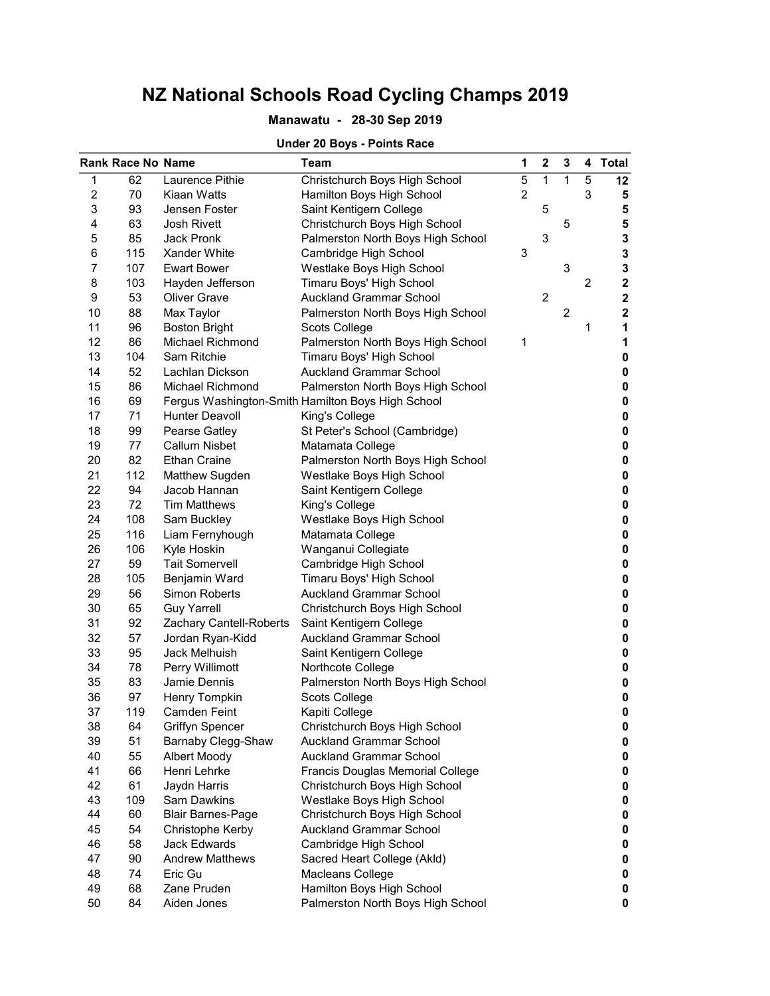### Manawatu - 28-30 Sep 2019

### Under 20 Boys - Points Race

|                | <b>Rank Race No Name</b> |                          | Team                                              | 1 | $\mathbf 2$    | 3              |                | 4 Total     |
|----------------|--------------------------|--------------------------|---------------------------------------------------|---|----------------|----------------|----------------|-------------|
| 1              | 62                       | Laurence Pithie          | Christchurch Boys High School                     | 5 | $\mathbf{1}$   | $\mathbf{1}$   | 5              | $12 \,$     |
| $\overline{c}$ | 70                       | Kiaan Watts              | Hamilton Boys High School                         | 2 |                |                | 3              | 5           |
| 3              | 93                       | Jensen Foster            | Saint Kentigern College                           |   | 5              |                |                | 5           |
| 4              | 63                       | <b>Josh Rivett</b>       | Christchurch Boys High School                     |   |                | 5              |                | 5           |
| 5              | 85                       | <b>Jack Pronk</b>        | Palmerston North Boys High School                 |   | 3              |                |                | 3           |
| 6              | 115                      | Xander White             | Cambridge High School                             | 3 |                |                |                | 3           |
| 7              | 107                      | <b>Ewart Bower</b>       | Westlake Boys High School                         |   |                | 3              |                | 3           |
| 8              | 103                      | Hayden Jefferson         | Timaru Boys' High School                          |   |                |                | $\overline{c}$ | 2           |
| 9              | 53                       | <b>Oliver Grave</b>      | <b>Auckland Grammar School</b>                    |   | $\overline{2}$ |                |                | $\mathbf 2$ |
| 10             | 88                       | Max Taylor               | Palmerston North Boys High School                 |   |                | $\overline{c}$ |                | $\mathbf 2$ |
| 11             | 96                       | <b>Boston Bright</b>     | Scots College                                     |   |                |                | 1              | 1           |
| 12             | 86                       | Michael Richmond         | Palmerston North Boys High School                 | 1 |                |                |                | 1           |
| 13             | 104                      | Sam Ritchie              | Timaru Boys' High School                          |   |                |                |                | 0           |
| 14             | 52                       | Lachlan Dickson          | <b>Auckland Grammar School</b>                    |   |                |                |                | 0           |
| 15             | 86                       | Michael Richmond         | Palmerston North Boys High School                 |   |                |                |                | $\pmb{0}$   |
| 16             | 69                       |                          | Fergus Washington-Smith Hamilton Boys High School |   |                |                |                | $\pmb{0}$   |
| 17             | 71                       | <b>Hunter Deavoll</b>    | King's College                                    |   |                |                |                | $\pmb{0}$   |
| 18             | 99                       | Pearse Gatley            | St Peter's School (Cambridge)                     |   |                |                |                | $\pmb{0}$   |
| 19             | 77                       | <b>Callum Nisbet</b>     | Matamata College                                  |   |                |                |                | 0           |
| 20             | 82                       | <b>Ethan Craine</b>      | Palmerston North Boys High School                 |   |                |                |                | 0           |
| 21             | 112                      | Matthew Sugden           | Westlake Boys High School                         |   |                |                |                | $\pmb{0}$   |
| 22             | 94                       | Jacob Hannan             | Saint Kentigern College                           |   |                |                |                | $\pmb{0}$   |
| 23             | 72                       | <b>Tim Matthews</b>      | King's College                                    |   |                |                |                | $\pmb{0}$   |
| 24             | 108                      | Sam Buckley              | Westlake Boys High School                         |   |                |                |                | 0           |
| 25             | 116                      | Liam Fernyhough          | Matamata College                                  |   |                |                |                | 0           |
| 26             | 106                      | Kyle Hoskin              | Wanganui Collegiate                               |   |                |                |                | 0           |
| 27             | 59                       | <b>Tait Somervell</b>    | Cambridge High School                             |   |                |                |                | 0           |
| 28             | 105                      | Benjamin Ward            | Timaru Boys' High School                          |   |                |                |                | 0           |
| 29             | 56                       | Simon Roberts            | <b>Auckland Grammar School</b>                    |   |                |                |                | 0           |
| 30             | 65                       | <b>Guy Yarrell</b>       | Christchurch Boys High School                     |   |                |                |                | 0           |
| 31             | 92                       | Zachary Cantell-Roberts  | Saint Kentigern College                           |   |                |                |                | 0           |
| 32             | 57                       | Jordan Ryan-Kidd         | <b>Auckland Grammar School</b>                    |   |                |                |                | 0           |
| 33             | 95                       | Jack Melhuish            | Saint Kentigern College                           |   |                |                |                | 0           |
| 34             | 78                       | Perry Willimott          | Northcote College                                 |   |                |                |                | 0           |
| 35             | 83                       | Jamie Dennis             | Palmerston North Boys High School                 |   |                |                |                | 0           |
| 36             | 97                       | Henry Tompkin            | Scots College                                     |   |                |                |                | $\pmb{0}$   |
| 37             | 119                      | <b>Camden Feint</b>      | Kapiti College                                    |   |                |                |                | 0           |
| 38             | 64                       | <b>Griffyn Spencer</b>   | Christchurch Boys High School                     |   |                |                |                | 0           |
| 39             | 51                       | Barnaby Clegg-Shaw       | <b>Auckland Grammar School</b>                    |   |                |                |                | 0           |
| 40             | 55                       | Albert Moody             | <b>Auckland Grammar School</b>                    |   |                |                |                | 0           |
| 41             | 66                       | Henri Lehrke             | Francis Douglas Memorial College                  |   |                |                |                | $\pmb{0}$   |
| 42             | 61                       | Jaydn Harris             | Christchurch Boys High School                     |   |                |                |                | $\pmb{0}$   |
| 43             | 109                      | Sam Dawkins              | Westlake Boys High School                         |   |                |                |                | $\pmb{0}$   |
| 44             | 60                       | <b>Blair Barnes-Page</b> | Christchurch Boys High School                     |   |                |                |                | 0           |
| 45             | 54                       | Christophe Kerby         | <b>Auckland Grammar School</b>                    |   |                |                |                | 0           |
| 46             | 58                       | <b>Jack Edwards</b>      | Cambridge High School                             |   |                |                |                | $\pmb{0}$   |
| 47             | 90                       | <b>Andrew Matthews</b>   | Sacred Heart College (Akld)                       |   |                |                |                | 0           |
| 48             | 74                       | Eric Gu                  | Macleans College                                  |   |                |                |                | 0           |
| 49             | 68                       | Zane Pruden              | Hamilton Boys High School                         |   |                |                |                | 0           |
| 50             | 84                       | Aiden Jones              | Palmerston North Boys High School                 |   |                |                |                | 0           |